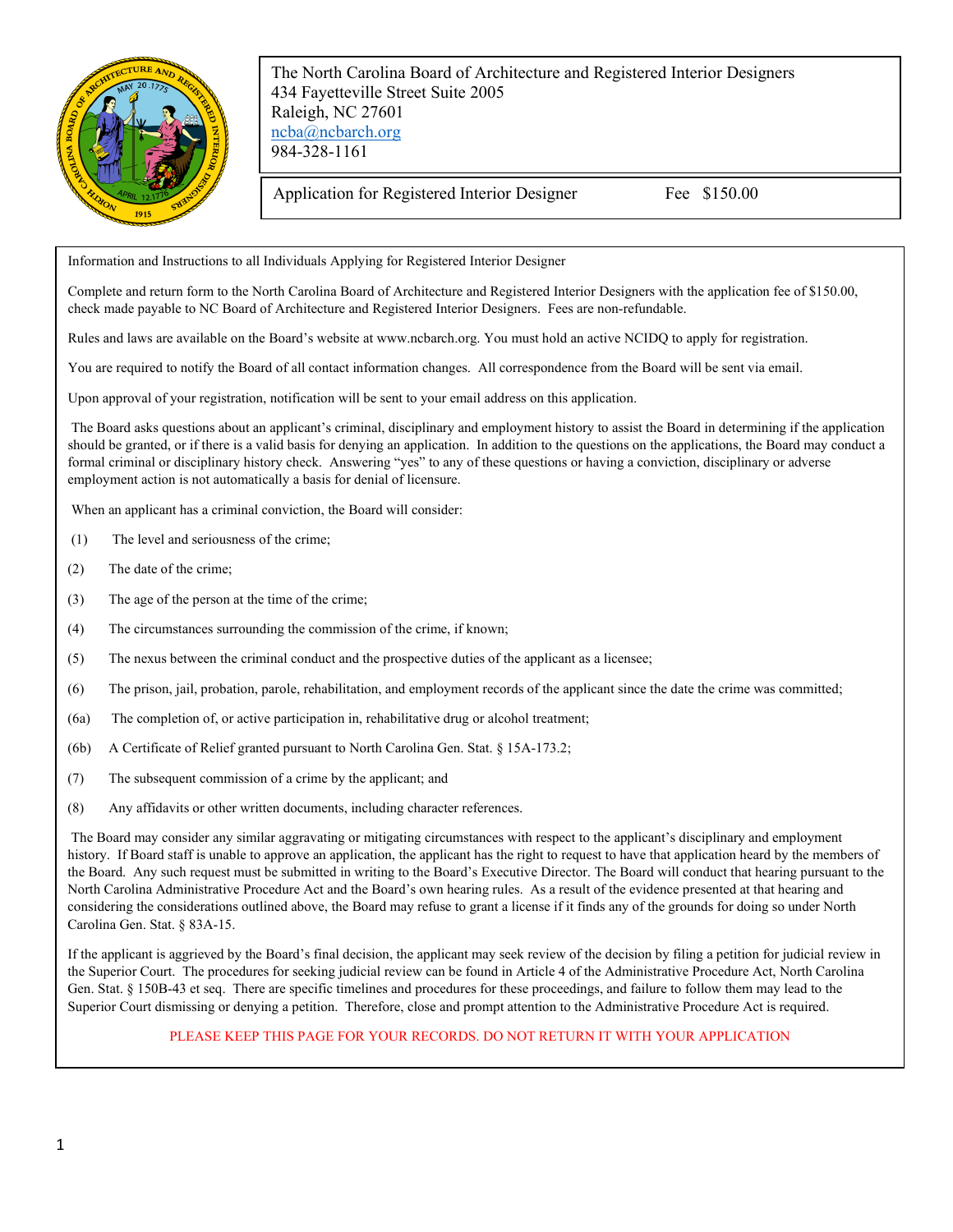

The North Carolina Board of Architecture and Registered Interior Designers 434 Fayetteville Street Suite 2005 Raleigh, NC 27601 [ncba@ncbarch.org](mailto:ncba@ncbarch.org) 984-328-1161

Application for Registered Interior Designer Fee \$150.00

Information and Instructions to all Individuals Applying for Registered Interior Designer

Complete and return form to the North Carolina Board of Architecture and Registered Interior Designers with the application fee of \$150.00, check made payable to NC Board of Architecture and Registered Interior Designers. Fees are non-refundable.

Rules and laws are available on the Board's website at www.ncbarch.org. You must hold an active NCIDQ to apply for registration.

You are required to notify the Board of all contact information changes. All correspondence from the Board will be sent via email.

Upon approval of your registration, notification will be sent to your email address on this application.

The Board asks questions about an applicant's criminal, disciplinary and employment history to assist the Board in determining if the application should be granted, or if there is a valid basis for denying an application. In addition to the questions on the applications, the Board may conduct a formal criminal or disciplinary history check. Answering "yes" to any of these questions or having a conviction, disciplinary or adverse employment action is not automatically a basis for denial of licensure.

When an applicant has a criminal conviction, the Board will consider:

- (1) The level and seriousness of the crime;
- (2) The date of the crime;
- (3) The age of the person at the time of the crime;
- (4) The circumstances surrounding the commission of the crime, if known;
- (5) The nexus between the criminal conduct and the prospective duties of the applicant as a licensee;
- (6) The prison, jail, probation, parole, rehabilitation, and employment records of the applicant since the date the crime was committed;
- (6a) The completion of, or active participation in, rehabilitative drug or alcohol treatment;
- (6b) A Certificate of Relief granted pursuant to North Carolina Gen. Stat. § 15A-173.2;
- (7) The subsequent commission of a crime by the applicant; and
- (8) Any affidavits or other written documents, including character references.

The Board may consider any similar aggravating or mitigating circumstances with respect to the applicant's disciplinary and employment history. If Board staff is unable to approve an application, the applicant has the right to request to have that application heard by the members of the Board. Any such request must be submitted in writing to the Board's Executive Director. The Board will conduct that hearing pursuant to the North Carolina Administrative Procedure Act and the Board's own hearing rules. As a result of the evidence presented at that hearing and considering the considerations outlined above, the Board may refuse to grant a license if it finds any of the grounds for doing so under North Carolina Gen. Stat. § 83A-15.

If the applicant is aggrieved by the Board's final decision, the applicant may seek review of the decision by filing a petition for judicial review in the Superior Court. The procedures for seeking judicial review can be found in Article 4 of the Administrative Procedure Act, North Carolina Gen. Stat. § 150B-43 et seq. There are specific timelines and procedures for these proceedings, and failure to follow them may lead to the Superior Court dismissing or denying a petition. Therefore, close and prompt attention to the Administrative Procedure Act is required.

## PLEASE KEEP THIS PAGE FOR YOUR RECORDS. DO NOT RETURN IT WITH YOUR APPLICATION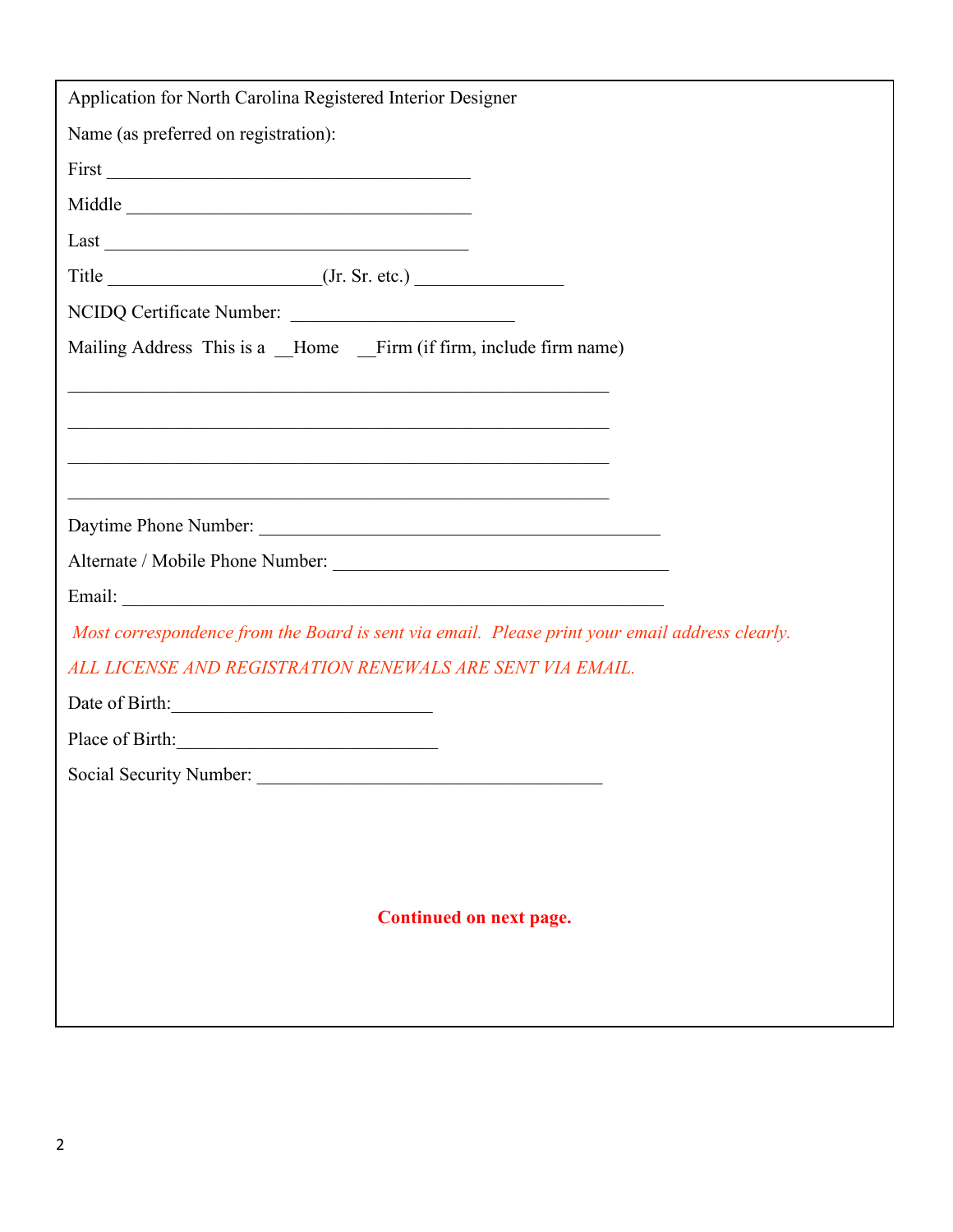| Application for North Carolina Registered Interior Designer                                    |  |  |
|------------------------------------------------------------------------------------------------|--|--|
| Name (as preferred on registration):                                                           |  |  |
|                                                                                                |  |  |
| Middle                                                                                         |  |  |
| Last                                                                                           |  |  |
|                                                                                                |  |  |
| NCIDQ Certificate Number:                                                                      |  |  |
| Mailing Address This is a Home Firm (if firm, include firm name)                               |  |  |
| <u> 1989 - Johann Stoff, amerikansk politiker (d. 1989)</u>                                    |  |  |
|                                                                                                |  |  |
|                                                                                                |  |  |
|                                                                                                |  |  |
| Daytime Phone Number:                                                                          |  |  |
|                                                                                                |  |  |
|                                                                                                |  |  |
| Most correspondence from the Board is sent via email. Please print your email address clearly. |  |  |
| ALL LICENSE AND REGISTRATION RENEWALS ARE SENT VIA EMAIL.                                      |  |  |
| Date of Birth: 2008                                                                            |  |  |
| Place of Birth:                                                                                |  |  |
| Social Security Number:                                                                        |  |  |
|                                                                                                |  |  |
|                                                                                                |  |  |
|                                                                                                |  |  |
| Continued on next page.                                                                        |  |  |
|                                                                                                |  |  |
|                                                                                                |  |  |
|                                                                                                |  |  |